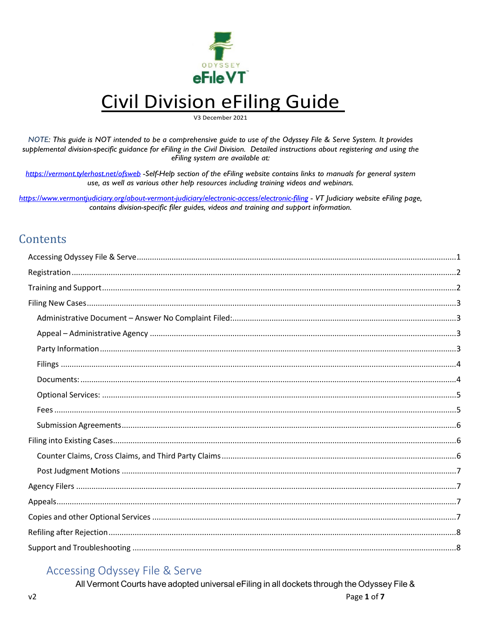

## **Civil Division eFiling Guide**

V3 December 2021

NOTE: This guide is NOT intended to be a comprehensive guide to use of the Odyssey File & Serve System. It provides supplemental division-specific guidance for eFiling in the Civil Division. Detailed instructions about registering and using the eFiling system are available at:

https://vermont.tylerhost.net/ofsweb -Self-Help section of the eFiling website contains links to manuals for general system use, as well as various other help resources including training videos and webinars.

https://www.vermontjudiciary.org/about-vermont-judiciary/electronic-access/electronic-filing - VT |udiciary website eFiling page, contains division-specific filer guides, videos and training and support information.

## Contents

## <span id="page-0-0"></span>**Accessing Odyssey File & Serve**

All Vermont Courts have adopted universal eFiling in all dockets through the Odyssey File &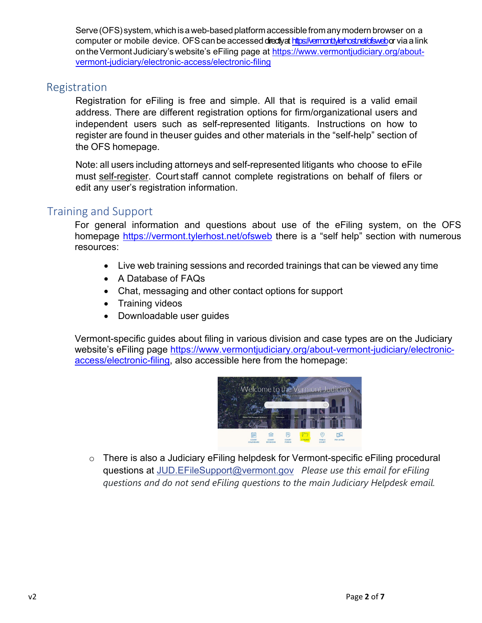Serve (OFS) system, which is a web-based platform accessible from any modern browser on a computer or mobile device. OFS can be accessed dredly a[t https://vermont.tylerhost.net/ofsweb](https://vermont.tylerhost.net/ofsweb)or via a link on the Vermont Judiciary's website's eFiling page at [https://www.vermontjudiciary.org/about](https://www.vermontjudiciary.org/about-vermont-judiciary/electronic-access/electronic-filing)[vermont-judiciary/electronic-access/electronic-filing](https://www.vermontjudiciary.org/about-vermont-judiciary/electronic-access/electronic-filing)

## <span id="page-1-0"></span>Registration

Registration for eFiling is free and simple. All that is required is a valid email address. There are different registration options for firm/organizational users and independent users such as self-represented litigants. Instructions on how to register are found in theuser guides and other materials in the "self-help" section of the OFS homepage.

Note: all users including attorneys and self-represented litigants who choose to eFile must self-register. Court staff cannot complete registrations on behalf of filers or edit any user's registration information.

## <span id="page-1-1"></span>Training and Support

For general information and questions about use of the eFiling system, on the OFS homepage<https://vermont.tylerhost.net/ofsweb> there is a "self help" section with numerous resources:

- Live web training sessions and recorded trainings that can be viewed any time
- A Database of FAQs
- Chat, messaging and other contact options for support
- Training videos
- Downloadable user guides

Vermont-specific guides about filing in various division and case types are on the Judiciary website's eFiling page [https://www.vermontjudiciary.org/about-vermont-judiciary/electronic](https://www.vermontjudiciary.org/about-vermont-judiciary/electronic-access/electronic-filing)[access/electronic-filing,](https://www.vermontjudiciary.org/about-vermont-judiciary/electronic-access/electronic-filing) also accessible here from the homepage:



o There is also a Judiciary eFiling helpdesk for Vermont-specific eFiling procedural questions at [JUD.EFileSupport@vermont.gov](mailto:JUD.EFileSupport@vermont.gov) *Please use this email for eFiling questions and do not send eFiling questions to the main Judiciary Helpdesk email.*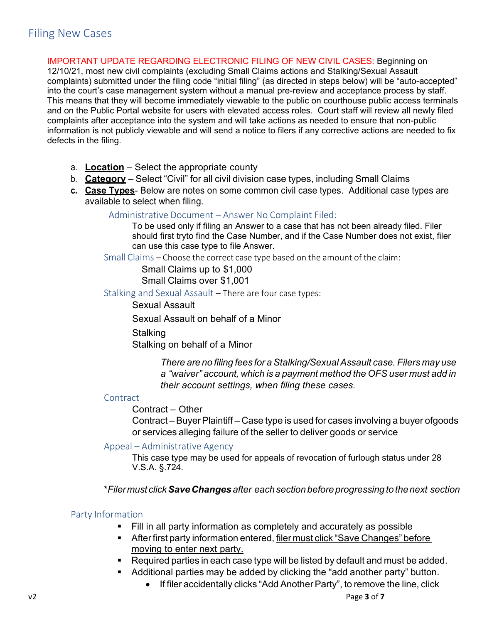<span id="page-2-0"></span>IMPORTANT UPDATE REGARDING ELECTRONIC FILING OF NEW CIVIL CASES: Beginning on 12/10/21, most new civil complaints (excluding Small Claims actions and Stalking/Sexual Assault complaints) submitted under the filing code "initial filing" (as directed in steps below) will be "auto-accepted" into the court's case management system without a manual pre-review and acceptance process by staff. This means that they will become immediately viewable to the public on courthouse public access terminals and on the Public Portal website for users with elevated access roles. Court staff will review all newly filed complaints after acceptance into the system and will take actions as needed to ensure that non-public information is not publicly viewable and will send a notice to filers if any corrective actions are needed to fix defects in the filing.

- a. **Location** Select the appropriate county
- b. **Category** Select "Civil" for all civil division case types, including Small Claims
- <span id="page-2-1"></span>**c. Case Types**- Below are notes on some common civil case types. Additional case types are available to select when filing.

#### Administrative Document – Answer No Complaint Filed:

To be used only if filing an Answer to a case that has not been already filed. Filer should first tryto find the Case Number, and if the Case Number does not exist, filer can use this case type to file Answer.

Small Claims – Choose the correct case type based on the amount of the claim:

Small Claims up to \$1,000 Small Claims over \$1,001

Stalking and Sexual Assault – There are four case types:

Sexual Assault

Sexual Assault on behalf of a Minor

**Stalking** 

Stalking on behalf of a Minor

*There are no filing fees for a Stalking/Sexual Assault case. Filers may use a "waiver" account, which is a payment method the OFS user must add in their account settings, when filing these cases.*

#### **Contract**

#### Contract – Other

Contract – Buyer Plaintiff – Case type is used for cases involving a buyer ofgoods or services alleging failure of the seller to deliver goods or service

#### <span id="page-2-2"></span>Appeal – Administrative Agency

This case type may be used for appeals of revocation of furlough status under 28 V.S.A. §.724.

\**Filermust clickSaveChanges after eachsectionbeforeprogressing to thenext section*

#### <span id="page-2-3"></span>Party Information

- Fill in all party information as completely and accurately as possible
- **After first party information entered, filer must click "Save Changes" before** moving to enter next party.
- Required parties in each case type will be listed by default and must be added.
- Additional parties may be added by clicking the "add another party" button.
	- If filer accidentally clicks "Add Another Party", to remove the line, click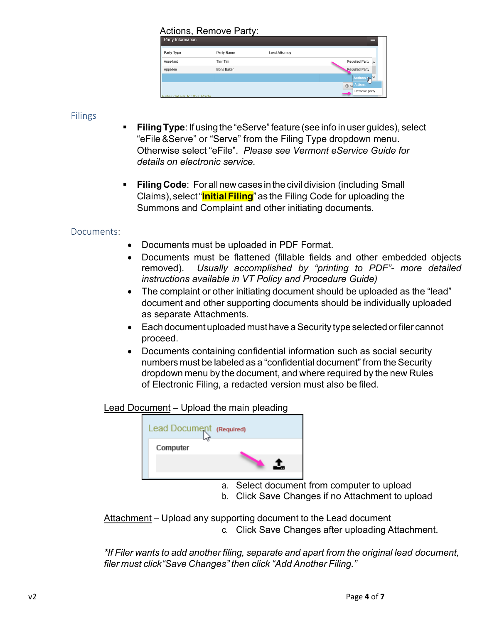# Actions, Remove Party:

| Party Type                   | Party Name         | <b>Lead Attorney</b> |                                                     |
|------------------------------|--------------------|----------------------|-----------------------------------------------------|
| Appellant                    | Tiny Tim           |                      | Required Party                                      |
| Appellee                     | <b>Boris Baker</b> |                      | Required Party                                      |
|                              |                    |                      | ------------------------<br>∣∨<br><b>Actions</b> 1m |
|                              |                    |                      | $\bigoplus$ Actions                                 |
| Enter details for this Party |                    |                      | Remove party                                        |

#### <span id="page-3-0"></span>Filings

- **Filing Type**: If using the "eServe" feature (see info in user guides), select "eFile&Serve" or "Serve" from the Filing Type dropdown menu. Otherwise select "eFile". *Please see Vermont eService Guide for details on electronic service.*
- **FilingCode**: Forallnew cases inthe civil division (including Small Claims), select"**InitialFiling**" as the Filing Code for uploading the Summons and Complaint and other initiating documents.

## <span id="page-3-1"></span>Documents:

- Documents must be uploaded in PDF Format.
- Documents must be flattened (fillable fields and other embedded objects removed). *Usually accomplished by "printing to PDF"- more detailed instructions available in VT Policy and Procedure Guide)*
- The complaint or other initiating document should be uploaded as the "lead" document and other supporting documents should be individually uploaded as separate Attachments.
- Each document uploaded must have a Security type selected or filer cannot proceed.
- Documents containing confidential information such as social security numbers must be labeled as a "confidential document" from the Security dropdown menu by the document, and where required by the new Rules of Electronic Filing, a redacted version must also be filed.

#### Lead Document – Upload the main pleading



a. Select document from computer to upload

b. Click Save Changes if no Attachment to upload

Attachment – Upload any supporting document to the Lead document c. Click Save Changes after uploading Attachment.

*\*If Filer wants to add another filing, separate and apart from the original lead document, filer must click"Save Changes" then click "Add Another Filing."*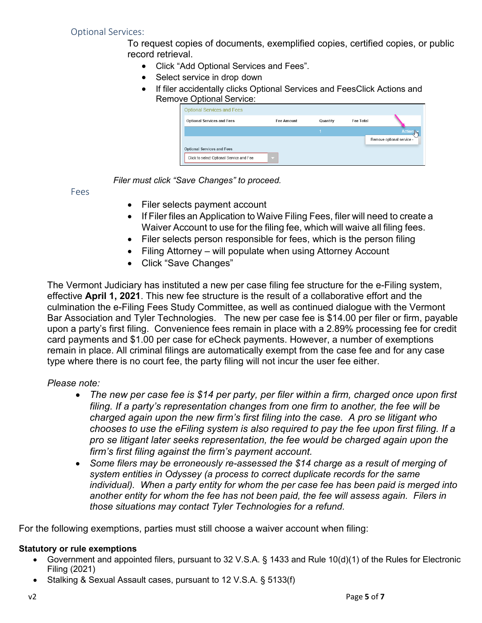<span id="page-4-0"></span>To request copies of documents, exemplified copies, certified copies, or public record retrieval.

- Click "Add Optional Services and Fees".
- Select service in drop down
- If filer accidentally clicks Optional Services and FeesClick Actions and Remove Optional Service:

| <b>Optional Services and Fees</b> | <b>Fee Amount</b> | Quantity | <b>Fee Total</b> |                           |
|-----------------------------------|-------------------|----------|------------------|---------------------------|
|                                   |                   |          |                  | <b>Actions</b>            |
|                                   |                   |          |                  | Remove optional service - |
| <b>Optional Services and Fees</b> |                   |          |                  |                           |

*Filer must click "Save Changes" to proceed.*

<span id="page-4-1"></span>Fees

- Filer selects payment account
- If Filer files an Application to Waive Filing Fees, filer will need to create a Waiver Account to use for the filing fee, which will waive all filing fees.
- Filer selects person responsible for fees, which is the person filing
- Filing Attorney will populate when using Attorney Account
- Click "Save Changes"

The Vermont Judiciary has instituted a new per case filing fee structure for the e-Filing system, effective **April 1, 2021**. This new fee structure is the result of a collaborative effort and the culmination the e-Filing Fees Study Committee, as well as continued dialogue with the Vermont Bar Association and Tyler Technologies. The new per case fee is \$14.00 per filer or firm, payable upon a party's first filing. Convenience fees remain in place with a 2.89% processing fee for credit card payments and \$1.00 per case for eCheck payments. However, a number of exemptions remain in place. All criminal filings are automatically exempt from the case fee and for any case type where there is no court fee, the party filing will not incur the user fee either.

#### *Please note:*

- *The new per case fee is \$14 per party, per filer within a firm, charged once upon first filing. If a party's representation changes from one firm to another, the fee will be charged again upon the new firm's first filing into the case. A pro se litigant who chooses to use the eFiling system is also required to pay the fee upon first filing. If a pro se litigant later seeks representation, the fee would be charged again upon the firm's first filing against the firm's payment account.*
- *Some filers may be erroneously re-assessed the \$14 charge as a result of merging of system entities in Odyssey (a process to correct duplicate records for the same individual). When a party entity for whom the per case fee has been paid is merged into another entity for whom the fee has not been paid, the fee will assess again. Filers in those situations may contact Tyler Technologies for a refund.*

For the following exemptions, parties must still choose a waiver account when filing:

#### **Statutory or rule exemptions**

- Government and appointed filers, pursuant to 32 V.S.A. § 1433 and Rule 10(d)(1) of the Rules for Electronic Filing (2021)
	- Stalking & Sexual Assault cases, pursuant to 12 V.S.A. § 5133(f)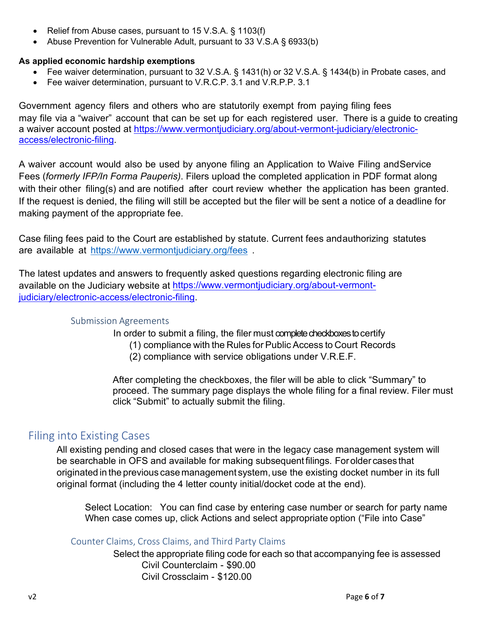- Relief from Abuse cases, pursuant to 15 V.S.A. § 1103(f)
- Abuse Prevention for Vulnerable Adult, pursuant to 33 V.S.A § 6933(b)

#### **As applied economic hardship exemptions**

- Fee waiver determination, pursuant to 32 V.S.A. § 1431(h) or 32 V.S.A. § 1434(b) in Probate cases, and
- Fee waiver determination, pursuant to V.R.C.P. 3.1 and V.R.P.P. 3.1

Government agency filers and others who are statutorily exempt from paying filing fees may file via a "waiver" account that can be set up for each registered user. There is a guide to creating a waiver account posted at [https://www.vermontjudiciary.org/about-vermont-judiciary/electronic](https://www.vermontjudiciary.org/about-vermont-judiciary/electronic-access/electronic-filing)[access/electronic-filing.](https://www.vermontjudiciary.org/about-vermont-judiciary/electronic-access/electronic-filing)

A waiver account would also be used by anyone filing an Application to Waive Filing andService Fees (*formerly IFP/In Forma Pauperis)*. Filers upload the completed application in PDF format along with their other filing(s) and are notified after court review whether the application has been granted. If the request is denied, the filing will still be accepted but the filer will be sent a notice of a deadline for making payment of the appropriate fee.

Case filing fees paid to the Court are established by statute. Current fees andauthorizing statutes are available at <https://www.vermontjudiciary.org/fees>

<span id="page-5-0"></span>The latest updates and answers to frequently asked questions regarding electronic filing are available on the Judiciary website at [https://www.vermontjudiciary.org/about-vermont](https://www.vermontjudiciary.org/about-vermont-judiciary/electronic-access/electronic-filing)[judiciary/electronic-access/electronic-filing.](https://www.vermontjudiciary.org/about-vermont-judiciary/electronic-access/electronic-filing)

#### Submission Agreements

In order to submit a filing, the filer must complete checkboxes to certify

- (1) compliance with the Rules for Public Access to Court Records
- (2) compliance with service obligations under V.R.E.F.

After completing the checkboxes, the filer will be able to click "Summary" to proceed. The summary page displays the whole filing for a final review. Filer must click "Submit" to actually submit the filing.

## <span id="page-5-1"></span>Filing into Existing Cases

All existing pending and closed cases that were in the legacy case management system will be searchable in OFS and available for making subsequent filings. Forolder cases that originated in the previous casemanagement system, use the existing docket number in its full original format (including the 4 letter county initial/docket code at the end).

Select Location: You can find case by entering case number or search for party name When case comes up, click Actions and select appropriate option ("File into Case"

<span id="page-5-2"></span>Counter Claims, Cross Claims, and Third Party Claims

Select the appropriate filing code for each so that accompanying fee is assessed Civil Counterclaim - \$90.00 Civil Crossclaim - \$120.00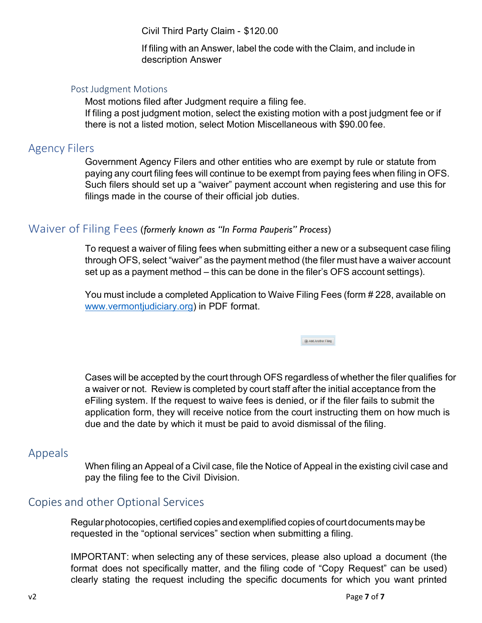Civil Third Party Claim - \$120.00

If filing with an Answer, label the code with the Claim, and include in description Answer

#### <span id="page-6-0"></span>Post Judgment Motions

Most motions filed after Judgment require a filing fee. If filing a post judgment motion, select the existing motion with a post judgment fee or if there is not a listed motion, select Motion Miscellaneous with \$90.00 fee.

## <span id="page-6-1"></span>Agency Filers

Government Agency Filers and other entities who are exempt by rule or statute from paying any court filing fees will continue to be exempt from paying fees when filing in OFS. Such filers should set up a "waiver" payment account when registering and use this for filings made in the course of their official job duties.

## Waiver of Filing Fees (*formerly known as "In Forma Pauperis" Process*)

To request a waiver of filing fees when submitting either a new or a subsequent case filing through OFS, select "waiver" as the payment method (the filer must have a waiver account set up as a payment method – this can be done in the filer's OFS account settings).

You must include a completed Application to Waive Filing Fees (form # 228, available on [www.vermontjudiciary.org\)](http://www.vermontjudiciary.org/) in PDF format.

Add Another Filing

Cases will be accepted by the court through OFS regardless of whether the filer qualifies for a waiver or not. Review is completed by court staff after the initial acceptance from the eFiling system. If the request to waive fees is denied, or if the filer fails to submit the application form, they will receive notice from the court instructing them on how much is due and the date by which it must be paid to avoid dismissal of the filing.

## <span id="page-6-2"></span>Appeals

When filing an Appeal of a Civil case, file the Notice of Appeal in the existing civil case and pay the filing fee to the Civil Division.

## <span id="page-6-3"></span>Copies and other Optional Services

Regular photocopies, certified copies and exemplified copies of court documents may be requested in the "optional services" section when submitting a filing.

IMPORTANT: when selecting any of these services, please also upload a document (the format does not specifically matter, and the filing code of "Copy Request" can be used) clearly stating the request including the specific documents for which you want printed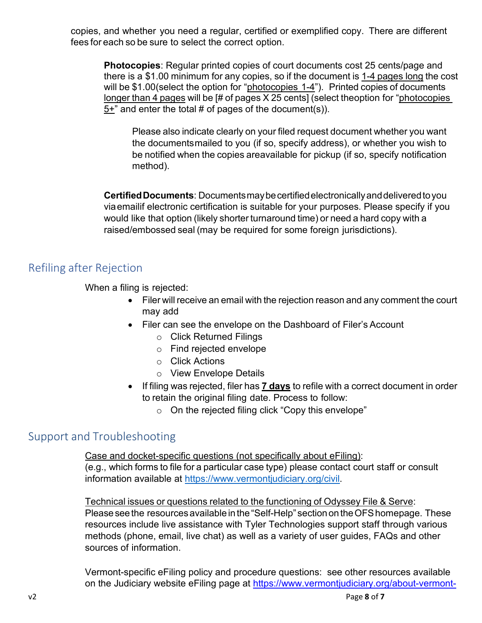copies, and whether you need a regular, certified or exemplified copy. There are different fees for each so be sure to select the correct option.

**Photocopies**: Regular printed copies of court documents cost 25 cents/page and there is a \$1.00 minimum for any copies, so if the document is 1-4 pages long the cost will be \$1.00(select the option for "photocopies 1-4"). Printed copies of documents longer than 4 pages will be [# of pages X 25 cents] (select theoption for "photocopies  $5+$ " and enter the total # of pages of the document(s)).

Please also indicate clearly on your filed request document whether you want the documentsmailed to you (if so, specify address), or whether you wish to be notified when the copies areavailable for pickup (if so, specify notification method).

**CertifiedDocuments**: Documentsmaybecertifiedelectronicallyanddeliveredtoyou viaemailif electronic certification is suitable for your purposes. Please specify if you would like that option (likely shorter turnaround time) or need a hard copy with a raised/embossed seal (may be required for some foreign jurisdictions).

## <span id="page-7-0"></span>Refiling after Rejection

When a filing is rejected:

- Filer will receive an email with the rejection reason and any comment the court may add
- Filer can see the envelope on the Dashboard of Filer's Account
	- o Click Returned Filings
	- o Find rejected envelope
	- o Click Actions
	- o View Envelope Details
- If filing was rejected, filer has **7 days** to refile with a correct document in order to retain the original filing date. Process to follow:
	- o On the rejected filing click "Copy this envelope"

## <span id="page-7-1"></span>Support and Troubleshooting

Case and docket-specific questions (not specifically about eFiling): (e.g., which forms to file for a particular case type) please contact court staff or consult information available at [https://www.vermontjudiciary.org/civil.](https://www.vermontjudiciary.org/civil)

Technical issues or questions related to the functioning of Odyssey File & Serve:

Please see the resources available in the "Self-Help" section on the OFS homepage. These resources include live assistance with Tyler Technologies support staff through various methods (phone, email, live chat) as well as a variety of user guides, FAQs and other sources of information.

Vermont-specific eFiling policy and procedure questions: see other resources available on the Judiciary website eFiling page at [https://www.vermontjudiciary.org/about-vermont-](https://www.vermontjudiciary.org/about-vermont-judiciary/electronic-access/electronic-filing)